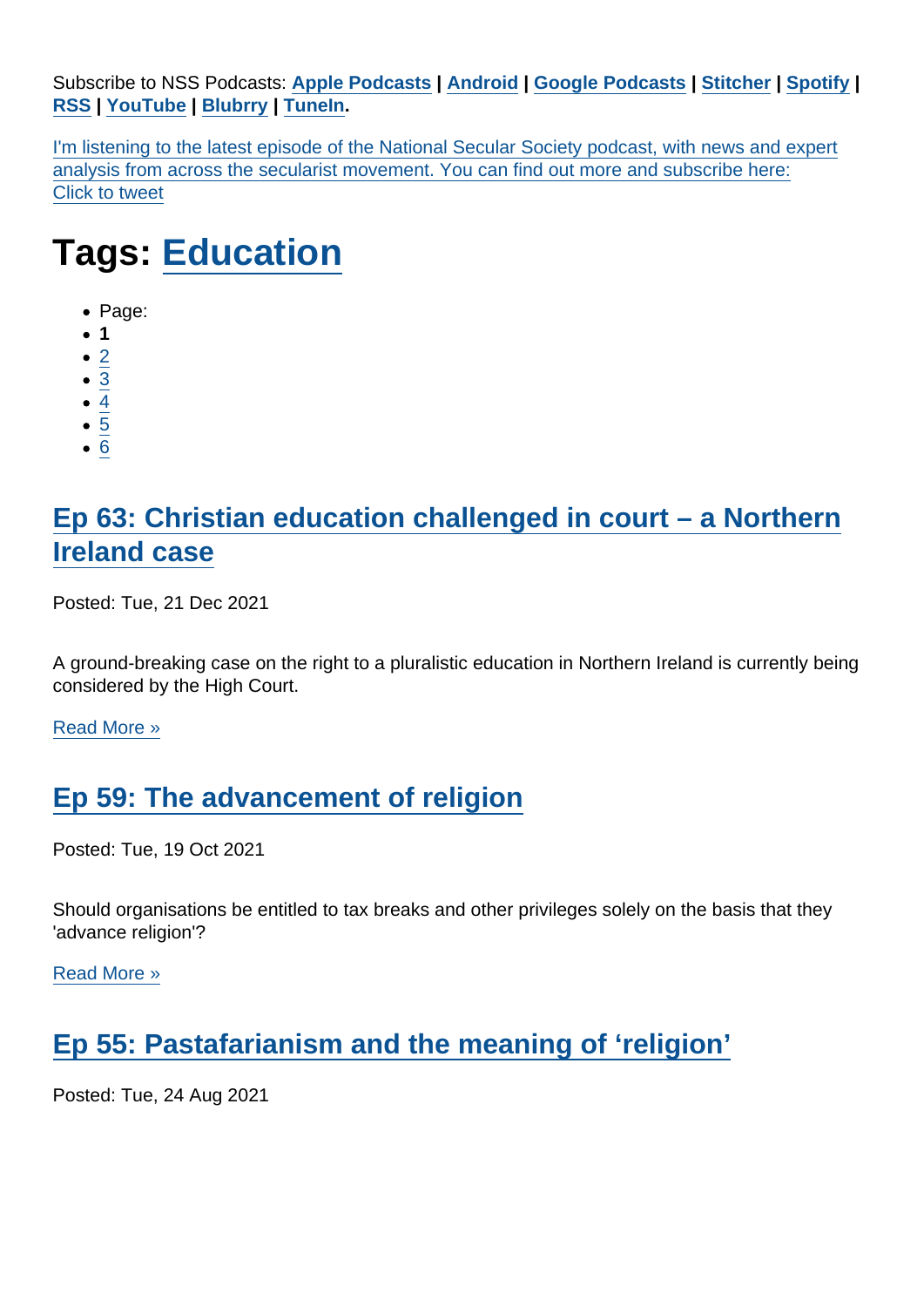Subscribe to NSS Podcasts: [Apple Podcasts](https://itunes.apple.com/gb/podcast/national-secular-society-podcast/id1452493582?mt=2) | [Android](https://subscribeonandroid.com/secularism.blubrry.net/feed/podcast/) | [Google Podcasts](https://www.google.com/podcasts?feed=aHR0cHM6Ly9zZWN1bGFyaXNtLmJsdWJycnkubmV0L2ZlZWQvcG9kY2FzdC8) | [Stitcher](https://www.stitcher.com/podcast/national-secular-society-podcast) | [Spotify](https://open.spotify.com/show/4YUdgznRhQwCtJRRLwbeXU) | [RSS](https://secularism.blubrry.net/feed/podcast/) | [YouTube](http://bit.ly/2TFGMDO) | [Blubrry](https://www.blubrry.com/secularism/) | [TuneIn](https://tunein.com/podcasts/News--Politics-Podcasts/National-Secular-Society-Podcast-p1188177/).

I'm listening to the latest episode of the National Secular Society podcast, with news and expert analysis from across the secularist movement. You can find out more and subscribe here: Click to tweet

## Tags: [Education](https://www.secularism.org.uk/podcast/tags/Education)

- Page:
- $1$
- $\bullet$  [2](/mnt/web-data/www/cp-nss/podcast/tags/Education)
- [3](/mnt/web-data/www/cp-nss/podcast/tags/Education)
- [4](/mnt/web-data/www/cp-nss/podcast/tags/Education)
- $\bullet$  [5](/mnt/web-data/www/cp-nss/podcast/tags/Education)
- [6](/mnt/web-data/www/cp-nss/podcast/tags/Education)

## [Ep 63: Christian education challenged in court – a Northern](https://www.secularism.org.uk/podcast/2021/12/ep-63) [Ireland case](https://www.secularism.org.uk/podcast/2021/12/ep-63)

Posted: Tue, 21 Dec 2021

A ground-breaking case on the right to a pluralistic education in Northern Ireland is currently being considered by the High Court.

[Read More »](https://www.secularism.org.uk/podcast/2021/12/ep-63)

## [Ep 59: The advancement of religion](https://www.secularism.org.uk/podcast/2021/10/ep-59)

Posted: Tue, 19 Oct 2021

Should organisations be entitled to tax breaks and other privileges solely on the basis that they 'advance religion'?

[Read More »](https://www.secularism.org.uk/podcast/2021/10/ep-59)

[Ep 55: Pastafarianism and the meaning of 'religion'](https://www.secularism.org.uk/podcast/2021/08/ep-55)

Posted: Tue, 24 Aug 2021